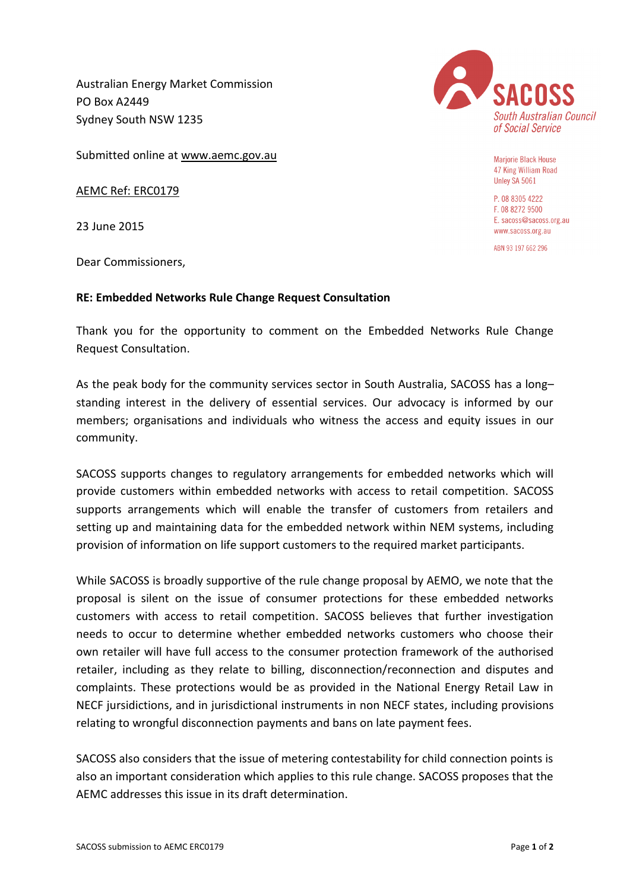Australian Energy Market Commission PO Box A2449 Sydney South NSW 1235



AEMC Ref: ERC0179

23 June 2015

Dear Commissioners,

## **RE: Embedded Networks Rule Change Request Consultation**

Thank you for the opportunity to comment on the Embedded Networks Rule Change Request Consultation.

As the peak body for the community services sector in South Australia, SACOSS has a long– standing interest in the delivery of essential services. Our advocacy is informed by our members; organisations and individuals who witness the access and equity issues in our community.

SACOSS supports changes to regulatory arrangements for embedded networks which will provide customers within embedded networks with access to retail competition. SACOSS supports arrangements which will enable the transfer of customers from retailers and setting up and maintaining data for the embedded network within NEM systems, including provision of information on life support customers to the required market participants.

While SACOSS is broadly supportive of the rule change proposal by AEMO, we note that the proposal is silent on the issue of consumer protections for these embedded networks customers with access to retail competition. SACOSS believes that further investigation needs to occur to determine whether embedded networks customers who choose their own retailer will have full access to the consumer protection framework of the authorised retailer, including as they relate to billing, disconnection/reconnection and disputes and complaints. These protections would be as provided in the National Energy Retail Law in NECF jursidictions, and in jurisdictional instruments in non NECF states, including provisions relating to wrongful disconnection payments and bans on late payment fees.

SACOSS also considers that the issue of metering contestability for child connection points is also an important consideration which applies to this rule change. SACOSS proposes that the AEMC addresses this issue in its draft determination.



**Marjorie Black House** 47 King William Road Unley SA 5061

P. 08 8305 4222 F. 08 8272 9500 E. sacoss@sacoss.org.au www.sacoss.org.au

ABN 93 197 662 296